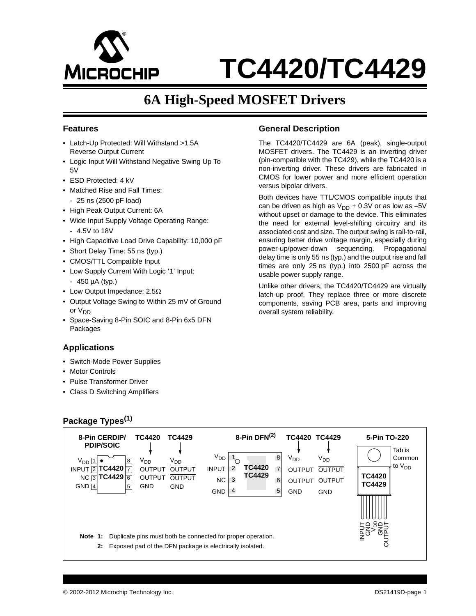

# **6A High-Speed MOSFET Drivers**

#### **Features**

- Latch-Up Protected: Will Withstand >1.5A Reverse Output Current
- Logic Input Will Withstand Negative Swing Up To 5V
- ESD Protected: 4 kV
- Matched Rise and Fall Times: - 25 ns (2500 pF load)
- High Peak Output Current: 6A
- Wide Input Supply Voltage Operating Range: - 4.5V to 18V
- High Capacitive Load Drive Capability: 10,000 pF
- Short Delay Time: 55 ns (typ.)
- CMOS/TTL Compatible Input
- Low Supply Current With Logic '1' Input:
- 450 µA (typ.)
- Low Output Impedance:  $2.5\Omega$
- Output Voltage Swing to Within 25 mV of Ground or V<sub>DD</sub>
- Space-Saving 8-Pin SOIC and 8-Pin 6x5 DFN Packages

#### **Applications**

- Switch-Mode Power Supplies
- Motor Controls
- Pulse Transformer Driver
- Class D Switching Amplifiers

#### **Package Types(1)**

#### **General Description**

The TC4420/TC4429 are 6A (peak), single-output MOSFET drivers. The TC4429 is an inverting driver (pin-compatible with the TC429), while the TC4420 is a non-inverting driver. These drivers are fabricated in CMOS for lower power and more efficient operation versus bipolar drivers.

Both devices have TTL/CMOS compatible inputs that can be driven as high as  $V_{DD}$  + 0.3V or as low as -5V without upset or damage to the device. This eliminates the need for external level-shifting circuitry and its associated cost and size. The output swing is rail-to-rail, ensuring better drive voltage margin, especially during power-up/power-down sequencing. Propagational delay time is only 55 ns (typ.) and the output rise and fall times are only 25 ns (typ.) into 2500 pF across the usable power supply range.

Unlike other drivers, the TC4420/TC4429 are virtually latch-up proof. They replace three or more discrete components, saving PCB area, parts and improving overall system reliability.

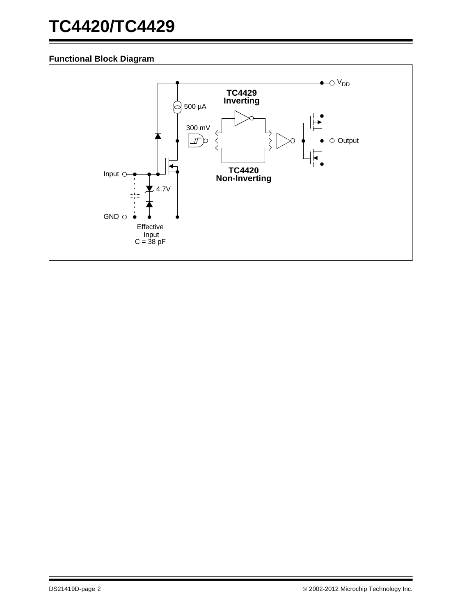# **Functional Block Diagram**

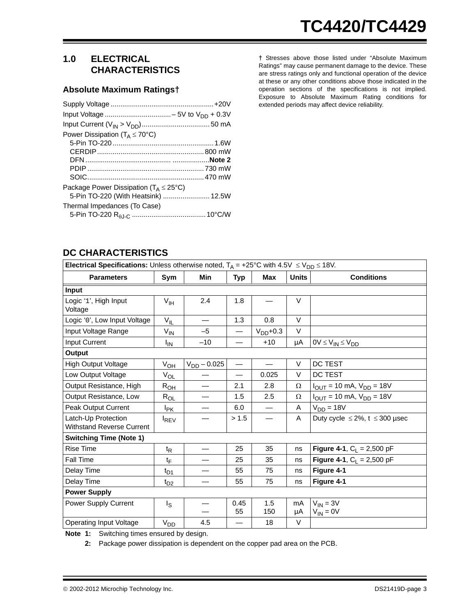# **1.0 ELECTRICAL CHARACTERISTICS**

#### **Absolute Maximum Ratings†**

| Power Dissipation ( $T_A \leq 70^{\circ}$ C)                                                |  |
|---------------------------------------------------------------------------------------------|--|
|                                                                                             |  |
|                                                                                             |  |
|                                                                                             |  |
|                                                                                             |  |
|                                                                                             |  |
| Package Power Dissipation ( $T_A \leq 25^{\circ}C$ )<br>5-Pin TO-220 (With Heatsink)  12.5W |  |
| Thermal Impedances (To Case)                                                                |  |

**†** Stresses above those listed under "Absolute Maximum Ratings" may cause permanent damage to the device. These are stress ratings only and functional operation of the device at these or any other conditions above those indicated in the operation sections of the specifications is not implied. Exposure to Absolute Maximum Rating conditions for extended periods may affect device reliability.

# **DC CHARACTERISTICS**

| <b>Electrical Specifications:</b> Unless otherwise noted, $T_A = +25^{\circ}C$ with $4.5V \le V_{DD} \le 18V$ . |                        |                  |                          |               |              |                                                       |  |  |  |  |  |
|-----------------------------------------------------------------------------------------------------------------|------------------------|------------------|--------------------------|---------------|--------------|-------------------------------------------------------|--|--|--|--|--|
| <b>Parameters</b>                                                                                               | Sym                    | Min              | Typ                      | <b>Max</b>    | <b>Units</b> | <b>Conditions</b>                                     |  |  |  |  |  |
| Input                                                                                                           |                        |                  |                          |               |              |                                                       |  |  |  |  |  |
| Logic '1', High Input<br>Voltage                                                                                | V <sub>IH</sub>        | 2.4              | 1.8                      |               | V            |                                                       |  |  |  |  |  |
| Logic '0', Low Input Voltage                                                                                    | $V_{IL}$               |                  | 1.3                      | 0.8           | $\vee$       |                                                       |  |  |  |  |  |
| Input Voltage Range                                                                                             | $V_{IN}$               | $-5$             | $\overline{\phantom{0}}$ | $V_{DD}$ +0.3 | $\vee$       |                                                       |  |  |  |  |  |
| <b>Input Current</b>                                                                                            | ΙM                     | $-10$            |                          | $+10$         | μA           | $0V \leq V_{IN} \leq V_{DD}$                          |  |  |  |  |  |
| Output                                                                                                          |                        |                  |                          |               |              |                                                       |  |  |  |  |  |
| <b>High Output Voltage</b>                                                                                      | $V_{OH}$               | $V_{DD} - 0.025$ | $\overline{\phantom{0}}$ |               | V            | DC TEST                                               |  |  |  |  |  |
| Low Output Voltage                                                                                              | $V_{OL}$               |                  | $\overline{\phantom{0}}$ | 0.025         | V            | DC TEST                                               |  |  |  |  |  |
| Output Resistance, High                                                                                         | $R_{OH}$               |                  | 2.1                      | 2.8           | Ω            | $I_{\text{OUT}} = 10 \text{ mA}, V_{\text{DD}} = 18V$ |  |  |  |  |  |
| Output Resistance, Low                                                                                          | $R_{OL}$               |                  | 1.5                      | 2.5           | Ω            | $I_{OUT} = 10$ mA, $V_{DD} = 18V$                     |  |  |  |  |  |
| <b>Peak Output Current</b>                                                                                      | <b>I</b> <sub>PK</sub> |                  | 6.0                      |               | Α            | V <sub>DD</sub> = 18V                                 |  |  |  |  |  |
| Latch-Up Protection<br><b>Withstand Reverse Current</b>                                                         | <b>IREV</b>            |                  | > 1.5                    |               | A            | Duty cycle $\leq$ 2%, t $\leq$ 300 µsec               |  |  |  |  |  |
| <b>Switching Time (Note 1)</b>                                                                                  |                        |                  |                          |               |              |                                                       |  |  |  |  |  |
| <b>Rise Time</b>                                                                                                | $t_{\mathsf{R}}$       |                  | 25                       | 35            | ns           | <b>Figure 4-1, C<sub>1</sub> = 2,500 pF</b>           |  |  |  |  |  |
| Fall Time                                                                                                       | $t_{\text{F}}$         |                  | 25                       | 35            | ns           | <b>Figure 4-1, C</b> <sub>L</sub> = 2,500 pF          |  |  |  |  |  |
| Delay Time                                                                                                      | $t_{D1}$               |                  | 55                       | 75            | ns           | Figure 4-1                                            |  |  |  |  |  |
| Delay Time                                                                                                      | $t_{D2}$               |                  | 55                       | 75            | ns           | Figure 4-1                                            |  |  |  |  |  |
| <b>Power Supply</b>                                                                                             |                        |                  |                          |               |              |                                                       |  |  |  |  |  |
| Power Supply Current                                                                                            | Is                     |                  | 0.45<br>55               | 1.5<br>150    | mA<br>μA     | $V_{IN} = 3V$<br>$V_{IN} = 0V$                        |  |  |  |  |  |
| <b>Operating Input Voltage</b>                                                                                  | $V_{DD}$               | 4.5              |                          | 18            | V            |                                                       |  |  |  |  |  |

<span id="page-2-1"></span><span id="page-2-0"></span>**Note 1:** Switching times ensured by design.

**2:** Package power dissipation is dependent on the copper pad area on the PCB.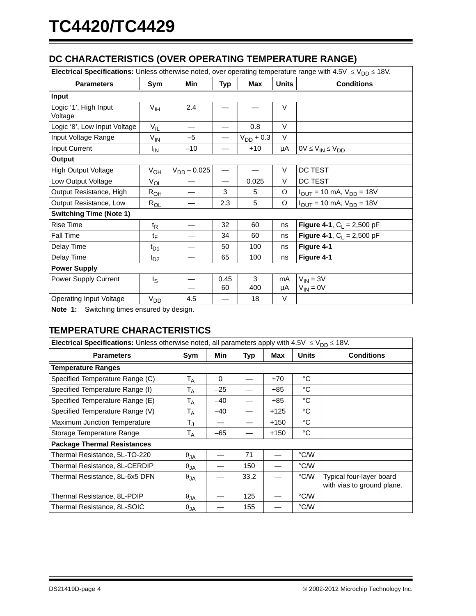# **DC CHARACTERISTICS (OVER OPERATING TEMPERATURE RANGE)**

| <b>Electrical Specifications:</b> Unless otherwise noted, over operating temperature range with 4.5V $\leq$ V <sub>DD</sub> $\leq$ 18V. |                  |                  |                          |                |              |                                                       |  |  |  |  |  |
|-----------------------------------------------------------------------------------------------------------------------------------------|------------------|------------------|--------------------------|----------------|--------------|-------------------------------------------------------|--|--|--|--|--|
| <b>Parameters</b>                                                                                                                       | Sym              | <b>Min</b>       | Typ                      | <b>Max</b>     | <b>Units</b> | <b>Conditions</b>                                     |  |  |  |  |  |
| Input                                                                                                                                   |                  |                  |                          |                |              |                                                       |  |  |  |  |  |
| Logic '1', High Input<br>Voltage                                                                                                        | $V_{\text{IH}}$  | 2.4              |                          |                | $\vee$       |                                                       |  |  |  |  |  |
| Logic '0', Low Input Voltage                                                                                                            | $V_{IL}$         |                  |                          | 0.8            | V            |                                                       |  |  |  |  |  |
| Input Voltage Range                                                                                                                     | $V_{IN}$         | $-5$             | $\overline{\phantom{0}}$ | $V_{DD}$ + 0.3 | V            |                                                       |  |  |  |  |  |
| Input Current                                                                                                                           | ΙıΝ              | $-10$            |                          | $+10$          | μA           | $0V \leq V_{IN} \leq V_{DD}$                          |  |  |  |  |  |
| Output                                                                                                                                  |                  |                  |                          |                |              |                                                       |  |  |  |  |  |
| <b>High Output Voltage</b>                                                                                                              | $V_{OH}$         | $V_{DD} - 0.025$ |                          |                | V            | DC TEST                                               |  |  |  |  |  |
| Low Output Voltage                                                                                                                      | $V_{OL}$         |                  | $\overline{\phantom{0}}$ | 0.025          | V            | DC TEST                                               |  |  |  |  |  |
| Output Resistance, High                                                                                                                 | $R_{OH}$         |                  | 3                        | 5              | Ω            | $I_{OUT} = 10$ mA, $V_{DD} = 18V$                     |  |  |  |  |  |
| Output Resistance, Low                                                                                                                  | $R_{OL}$         |                  | 2.3                      | 5              | $\Omega$     | $I_{\text{OUT}} = 10 \text{ mA}, V_{\text{DD}} = 18V$ |  |  |  |  |  |
| <b>Switching Time (Note 1)</b>                                                                                                          |                  |                  |                          |                |              |                                                       |  |  |  |  |  |
| Rise Time                                                                                                                               | $t_{\mathsf{R}}$ |                  | 32                       | 60             | ns           | <b>Figure 4-1, C<sub>L</sub></b> = 2,500 pF           |  |  |  |  |  |
| Fall Time                                                                                                                               | $t_{\mathsf{F}}$ |                  | 34                       | 60             | ns           | <b>Figure 4-1, C<sub>1</sub> = 2,500 pF</b>           |  |  |  |  |  |
| Delay Time                                                                                                                              | $t_{D1}$         |                  | 50                       | 100            | ns           | Figure 4-1                                            |  |  |  |  |  |
| Delay Time                                                                                                                              | $t_{D2}$         |                  | 65                       | 100            | ns           | Figure 4-1                                            |  |  |  |  |  |
| <b>Power Supply</b>                                                                                                                     |                  |                  |                          |                |              |                                                       |  |  |  |  |  |
| Power Supply Current                                                                                                                    | Is               |                  | 0.45                     | 3              | mA           | $V_{IN} = 3V$                                         |  |  |  |  |  |
|                                                                                                                                         |                  |                  | 60                       | 400            | μA           | $V_{IN} = 0V$                                         |  |  |  |  |  |
| <b>Operating Input Voltage</b>                                                                                                          | V <sub>DD</sub>  | 4.5              |                          | 18             | V            |                                                       |  |  |  |  |  |

<span id="page-3-0"></span>**Note 1:** Switching times ensured by design.

# **TEMPERATURE CHARACTERISTICS**

| Electrical Specifications: Unless otherwise noted, all parameters apply with 4.5V $\leq$ V <sub>DD</sub> $\leq$ 18V. |                           |             |      |        |              |                                                        |  |  |  |  |
|----------------------------------------------------------------------------------------------------------------------|---------------------------|-------------|------|--------|--------------|--------------------------------------------------------|--|--|--|--|
| <b>Parameters</b>                                                                                                    | Sym                       | Min         | Typ  | Max    | <b>Units</b> | <b>Conditions</b>                                      |  |  |  |  |
| <b>Temperature Ranges</b>                                                                                            |                           |             |      |        |              |                                                        |  |  |  |  |
| Specified Temperature Range (C)                                                                                      | $T_A$                     | $\mathbf 0$ |      | $+70$  | °C           |                                                        |  |  |  |  |
| Specified Temperature Range (I)                                                                                      | $\mathsf{T}_\mathsf{A}$   | $-25$       |      | $+85$  | °C           |                                                        |  |  |  |  |
| Specified Temperature Range (E)                                                                                      | $T_A$                     | $-40$       |      | $+85$  | °C           |                                                        |  |  |  |  |
| Specified Temperature Range (V)                                                                                      | T <sub>A</sub>            | $-40$       |      | +125   | °C           |                                                        |  |  |  |  |
| Maximum Junction Temperature                                                                                         | $\mathsf{T}_{\mathsf{J}}$ |             |      | $+150$ | °C           |                                                        |  |  |  |  |
| Storage Temperature Range                                                                                            | $T_A$                     | $-65$       |      | $+150$ | °C           |                                                        |  |  |  |  |
| <b>Package Thermal Resistances</b>                                                                                   |                           |             |      |        |              |                                                        |  |  |  |  |
| Thermal Resistance, 5L-TO-220                                                                                        | $\theta_{JA}$             |             | 71   |        | °C/W         |                                                        |  |  |  |  |
| Thermal Resistance, 8L-CERDIP                                                                                        | $\theta_{JA}$             |             | 150  |        | °C/W         |                                                        |  |  |  |  |
| Thermal Resistance, 8L-6x5 DFN                                                                                       | $\theta_{JA}$             |             | 33.2 |        | °C/W         | Typical four-layer board<br>with vias to ground plane. |  |  |  |  |
| Thermal Resistance, 8L-PDIP                                                                                          | $\theta$ JA               |             | 125  |        | °C/W         |                                                        |  |  |  |  |
| Thermal Resistance, 8L-SOIC                                                                                          | $\theta_{JA}$             |             | 155  |        | °C/W         |                                                        |  |  |  |  |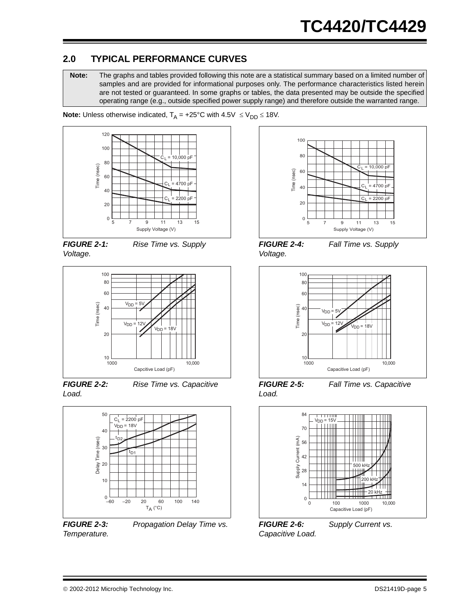# **2.0 TYPICAL PERFORMANCE CURVES**

**Note:** The graphs and tables provided following this note are a statistical summary based on a limited number of samples and are provided for informational purposes only. The performance characteristics listed herein are not tested or guaranteed. In some graphs or tables, the data presented may be outside the specified operating range (e.g., outside specified power supply range) and therefore outside the warranted range.

**Note:** Unless otherwise indicated,  $T_A = +25^{\circ}C$  with  $4.5V \le V_{DD} \le 18V$ .



*Voltage.*







*FIGURE 2-2: Rise Time vs. Capacitive Load.*



*Temperature.*

*FIGURE 2-3: Propagation Delay Time vs.* 



*Voltage.*

*FIGURE 2-4: Fall Time vs. Supply* 



*FIGURE 2-5: Fall Time vs. Capacitive Load.*



*Capacitive Load.*

*FIGURE 2-6: Supply Current vs.*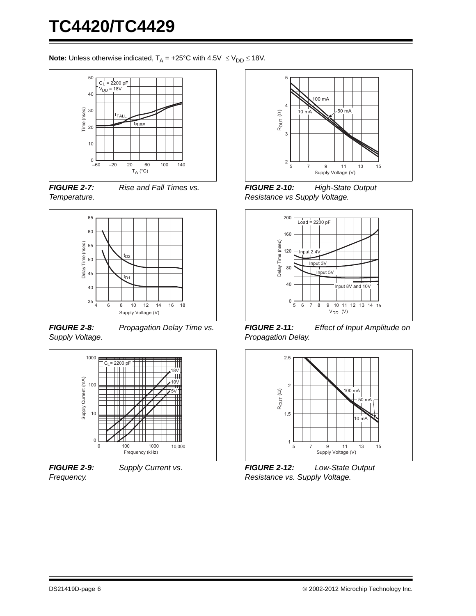**Note:** Unless otherwise indicated,  $T_A = +25^{\circ}C$  with  $4.5V \le V_{DD} \le 18V$ .



*FIGURE 2-7: Rise and Fall Times vs. Temperature.*



*FIGURE 2-8: Propagation Delay Time vs. Supply Voltage.*



*FIGURE 2-9: Supply Current vs. Frequency.*



*FIGURE 2-10: High-State Output Resistance vs Supply Voltage.*



*FIGURE 2-11: Effect of Input Amplitude on Propagation Delay.*



*FIGURE 2-12: Low-State Output Resistance vs. Supply Voltage.*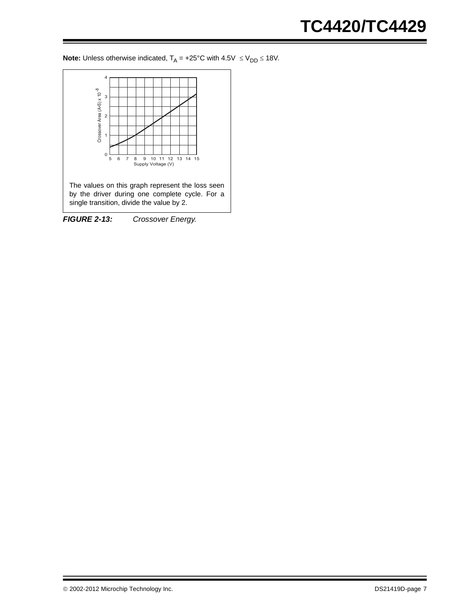**Note:** Unless otherwise indicated,  $T_A = +25^{\circ}C$  with  $4.5V \le V_{DD} \le 18V$ .

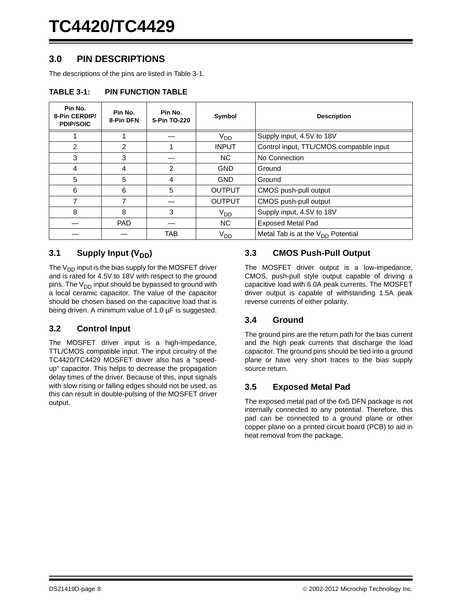# **3.0 PIN DESCRIPTIONS**

The descriptions of the pins are listed in [Table 3-1.](#page-7-0)

#### <span id="page-7-0"></span>**TABLE 3-1: PIN FUNCTION TABLE**

| Pin No.<br>8-Pin CERDIP/<br><b>PDIP/SOIC</b> | Pin No.<br>8-Pin DFN | Pin No.<br>5-Pin TO-220 | Symbol          | <b>Description</b>                       |
|----------------------------------------------|----------------------|-------------------------|-----------------|------------------------------------------|
|                                              |                      |                         | V <sub>DD</sub> | Supply input, 4.5V to 18V                |
| $\mathcal{P}$                                | $\mathfrak{p}$       |                         | <b>INPUT</b>    | Control input, TTL/CMOS compatible input |
| 3                                            | 3                    |                         | NC.             | No Connection                            |
| 4                                            | 4                    | 2                       | <b>GND</b>      | Ground                                   |
| 5                                            | 5                    | 4                       | <b>GND</b>      | Ground                                   |
| 6                                            | 6                    | 5                       | <b>OUTPUT</b>   | CMOS push-pull output                    |
| 7                                            | 7                    |                         | <b>OUTPUT</b>   | CMOS push-pull output                    |
| 8                                            | 8                    | 3                       | V <sub>DD</sub> | Supply input, 4.5V to 18V                |
|                                              | <b>PAD</b>           |                         | NC.             | <b>Exposed Metal Pad</b>                 |
|                                              |                      | TAB                     | V <sub>DD</sub> | Metal Tab is at the $V_{DD}$ Potential   |

### **3.1** Supply Input (V<sub>DD</sub>)

The  $V_{DD}$  input is the bias supply for the MOSFET driver and is rated for 4.5V to 18V with respect to the ground pins. The  $V_{DD}$  input should be bypassed to ground with a local ceramic capacitor. The value of the capacitor should be chosen based on the capacitive load that is being driven. A minimum value of 1.0 µF is suggested.

#### **3.2 Control Input**

The MOSFET driver input is a high-impedance, TTL/CMOS compatible input. The input circuitry of the TC4420/TC4429 MOSFET driver also has a "speedup" capacitor. This helps to decrease the propagation delay times of the driver. Because of this, input signals with slow rising or falling edges should not be used, as this can result in double-pulsing of the MOSFET driver output.

#### **3.3 CMOS Push-Pull Output**

The MOSFET driver output is a low-impedance, CMOS, push-pull style output capable of driving a capacitive load with 6.0A peak currents. The MOSFET driver output is capable of withstanding 1.5A peak reverse currents of either polarity.

#### **3.4 Ground**

The ground pins are the return path for the bias current and the high peak currents that discharge the load capacitor. The ground pins should be tied into a ground plane or have very short traces to the bias supply source return.

#### **3.5 Exposed Metal Pad**

The exposed metal pad of the 6x5 DFN package is not internally connected to any potential. Therefore, this pad can be connected to a ground plane or other copper plane on a printed circuit board (PCB) to aid in heat removal from the package.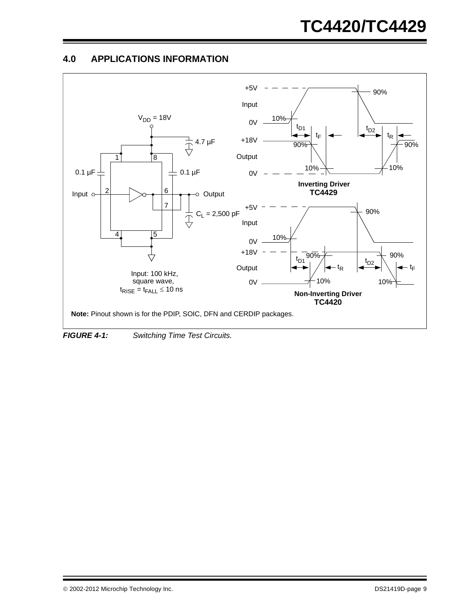# **4.0 APPLICATIONS INFORMATION**



<span id="page-8-0"></span>*FIGURE 4-1: Switching Time Test Circuits.*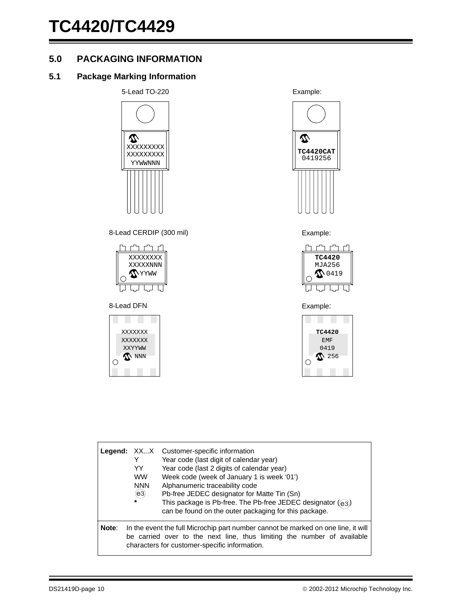# **5.0 PACKAGING INFORMATION**

# **5.1 Package Marking Information**

5-Lead TO-220  $\boldsymbol{\mathcal{D}}$ XXXXXXXXX XXXXXXXXX YYWWNNN

#### 8-Lead CERDIP (300 mil) **Example:**



#### 8-Lead DFN Example:



Example:







|       | YY<br><b>WW</b><br><b>NNN</b><br>(e3)<br>$\star$ | <b>Legend:</b> XXX Customer-specific information<br>Year code (last digit of calendar year)<br>Year code (last 2 digits of calendar year)<br>Week code (week of January 1 is week '01')<br>Alphanumeric traceability code<br>Pb-free JEDEC designator for Matte Tin (Sn)<br>This package is Pb-free. The Pb-free JEDEC designator (e3)<br>can be found on the outer packaging for this package. |
|-------|--------------------------------------------------|-------------------------------------------------------------------------------------------------------------------------------------------------------------------------------------------------------------------------------------------------------------------------------------------------------------------------------------------------------------------------------------------------|
| Note: |                                                  | In the event the full Microchip part number cannot be marked on one line, it will<br>be carried over to the next line, thus limiting the number of available<br>characters for customer-specific information.                                                                                                                                                                                   |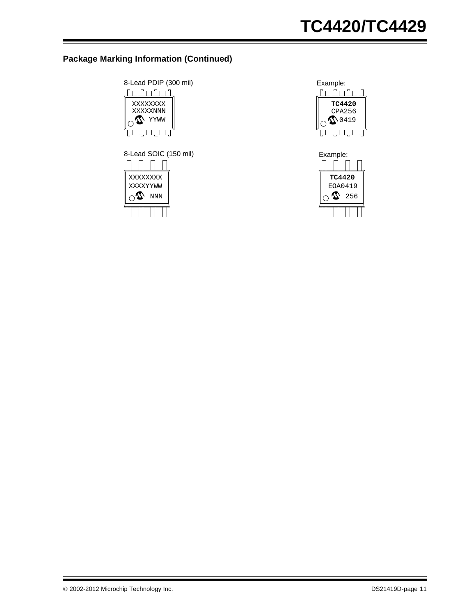# **Package Marking Information (Continued)**



8-Lead SOIC (150 mil) Example:





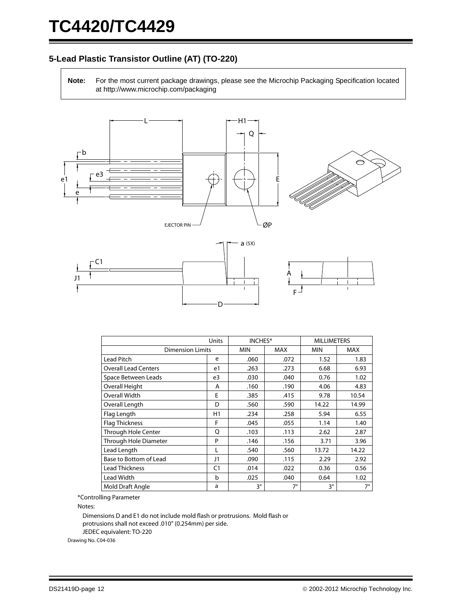# **5-Lead Plastic Transistor Outline (AT) (TO-220)**

**Note:** For the most current package drawings, please see the Microchip Packaging Specification located at http://www.microchip.com/packaging



D

|                             | Units          |             | INCHES*   | <b>MILLIMETERS</b> |            |  |
|-----------------------------|----------------|-------------|-----------|--------------------|------------|--|
| <b>Dimension Limits</b>     |                | <b>MIN</b>  | MAX       | <b>MIN</b>         | <b>MAX</b> |  |
| Lead Pitch                  | e              | .060        | .072      | 1.52               | 1.83       |  |
| <b>Overall Lead Centers</b> | e1             | .263        | .273      | 6.68               | 6.93       |  |
| Space Between Leads         | e3             | .030        | .040      | 0.76               | 1.02       |  |
| <b>Overall Height</b>       | A              | .160        | .190      | 4.06               | 4.83       |  |
| Overall Width               | E              | .385        | .415      | 9.78               | 10.54      |  |
| Overall Length              | D              | .560        | .590      | 14.22              | 14.99      |  |
| Flag Length                 | H1             | .234        | .258      | 5.94               | 6.55       |  |
| <b>Flag Thickness</b>       | F              | .045        | .055      | 1.14               | 1.40       |  |
| <b>Through Hole Center</b>  | Q              | .103        | .113      | 2.62               | 2.87       |  |
| Through Hole Diameter       | P              | .146        | .156      | 3.71               | 3.96       |  |
| Lead Length                 |                | .540        | .560      | 13.72              | 14.22      |  |
| Base to Bottom of Lead      | J1             | .090        | .115      | 2.29               | 2.92       |  |
| <b>Lead Thickness</b>       | C <sub>1</sub> | .014        | .022      | 0.36               | 0.56       |  |
| Lead Width                  | b              | .025        | .040      | 0.64               | 1.02       |  |
| Mold Draft Angle            | a              | $3^{\circ}$ | $7^\circ$ | 3°                 | $7^\circ$  |  |

F

\*Controlling Parameter

Notes:

Dimensions D and E1 do not include mold flash or protrusions. Mold flash or protrusions shall not exceed .010" (0.254mm) per side. JEDEC equivalent: TO-220

Drawing No. C04-036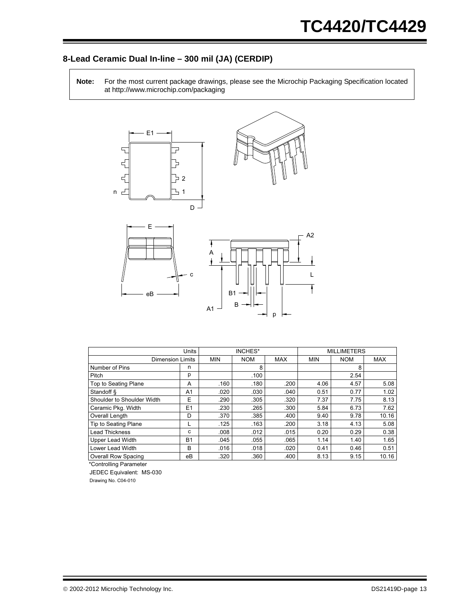# **8-Lead Ceramic Dual In-line – 300 mil (JA) (CERDIP)**

**Note:** For the most current package drawings, please see the Microchip Packaging Specification located at http://www.microchip.com/packaging



|                            | Units          |            | <b>INCHES*</b> |            |            | <b>MILLIMETERS</b> |            |
|----------------------------|----------------|------------|----------------|------------|------------|--------------------|------------|
| <b>Dimension Limits</b>    |                | <b>MIN</b> | <b>NOM</b>     | <b>MAX</b> | <b>MIN</b> | <b>NOM</b>         | <b>MAX</b> |
| Number of Pins             | n              |            | 8              |            |            | 8                  |            |
| Pitch                      | р              |            | .100           |            |            | 2.54               |            |
| Top to Seating Plane       | A              | .160       | .180           | .200       | 4.06       | 4.57               | 5.08       |
| Standoff §                 | A <sub>1</sub> | .020       | .030           | .040       | 0.51       | 0.77               | 1.02       |
| Shoulder to Shoulder Width | E              | .290       | .305           | .320       | 7.37       | 7.75               | 8.13       |
| Ceramic Pkg. Width         | E <sub>1</sub> | .230       | .265           | .300       | 5.84       | 6.73               | 7.62       |
| Overall Length             | D              | .370       | .385           | .400       | 9.40       | 9.78               | 10.16      |
| Tip to Seating Plane       |                | .125       | .163           | .200       | 3.18       | 4.13               | 5.08       |
| <b>Lead Thickness</b>      | c              | .008       | .012           | .015       | 0.20       | 0.29               | 0.38       |
| <b>Upper Lead Width</b>    | <b>B1</b>      | .045       | .055           | .065       | 1.14       | 1.40               | 1.65       |
| Lower Lead Width           | B              | .016       | .018           | .020       | 0.41       | 0.46               | 0.51       |
| <b>Overall Row Spacing</b> | eВ             | .320       | .360           | .400       | 8.13       | 9.15               | 10.16      |

\*Controlling Parameter

JEDEC Equivalent: MS-030

Drawing No. C04-010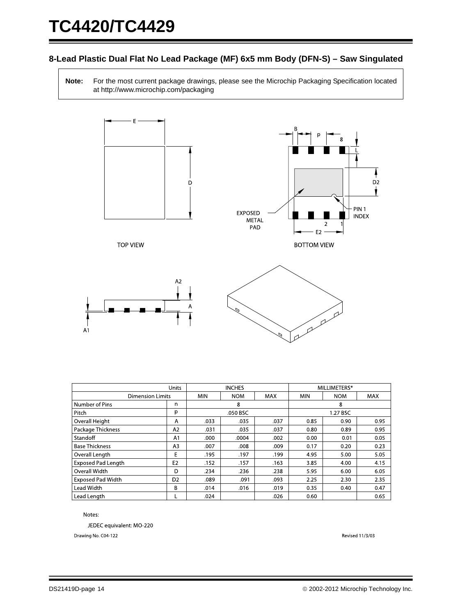### **8-Lead Plastic Dual Flat No Lead Package (MF) 6x5 mm Body (DFN-S) – Saw Singulated**

**Note:** For the most current package drawings, please see the Microchip Packaging Specification located at http://www.microchip.com/packaging



|                           | <b>Units</b>   |            | <b>INCHES</b> |            |            | MILLIMETERS* |            |
|---------------------------|----------------|------------|---------------|------------|------------|--------------|------------|
| <b>Dimension Limits</b>   |                | <b>MIN</b> | <b>NOM</b>    | <b>MAX</b> | <b>MIN</b> | <b>NOM</b>   | <b>MAX</b> |
| Number of Pins            | n              |            | 8             |            |            | 8            |            |
| Pitch                     | р              |            | .050 BSC      |            |            | 1.27 BSC     |            |
| Overall Height            | A              | .033       | .035          | .037       | 0.85       | 0.90         | 0.95       |
| Package Thickness         | A2             | .031       | .035          | .037       | 0.80       | 0.89         | 0.95       |
| Standoff                  | A <sub>1</sub> | .000       | .0004         | .002       | 0.00       | 0.01         | 0.05       |
| <b>Base Thickness</b>     | A3             | .007       | .008          | .009       | 0.17       | 0.20         | 0.23       |
| Overall Length            | E              | .195       | .197          | .199       | 4.95       | 5.00         | 5.05       |
| <b>Exposed Pad Length</b> | E <sub>2</sub> | .152       | .157          | .163       | 3.85       | 4.00         | 4.15       |
| Overall Width             | D              | .234       | .236          | .238       | 5.95       | 6.00         | 6.05       |
| <b>Exposed Pad Width</b>  | D <sub>2</sub> | .089       | .091          | .093       | 2.25       | 2.30         | 2.35       |
| Lead Width                | B              | .014       | .016          | .019       | 0.35       | 0.40         | 0.47       |
| Lead Length               |                | .024       |               | .026       | 0.60       |              | 0.65       |

Notes:

JEDEC equivalent: MO-220

Drawing No. C04-122

Revised 11/3/03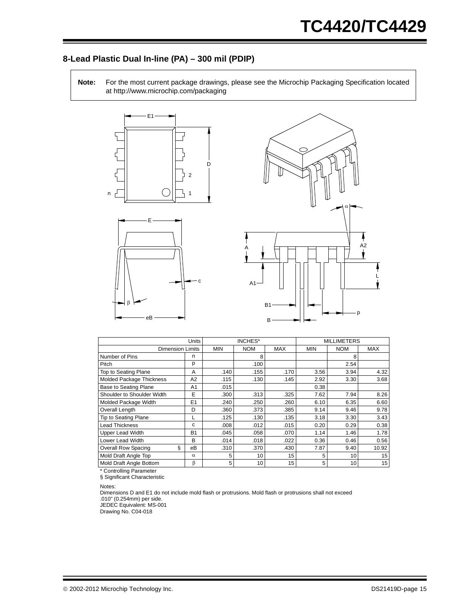### **8-Lead Plastic Dual In-line (PA) – 300 mil (PDIP)**

**Note:** For the most current package drawings, please see the Microchip Packaging Specification located at http://www.microchip.com/packaging



eB



|                                 | Units          |            | <b>INCHES*</b> |            |            | <b>MILLIMETERS</b> |            |
|---------------------------------|----------------|------------|----------------|------------|------------|--------------------|------------|
| <b>Dimension Limits</b>         |                | <b>MIN</b> | <b>NOM</b>     | <b>MAX</b> | <b>MIN</b> | <b>NOM</b>         | <b>MAX</b> |
| Number of Pins                  | n              |            | 8              |            |            | 8                  |            |
| Pitch                           | р              |            | .100           |            |            | 2.54               |            |
| Top to Seating Plane            | A              | .140       | .155           | .170       | 3.56       | 3.94               | 4.32       |
| <b>Molded Package Thickness</b> | A <sub>2</sub> | .115       | .130           | .145       | 2.92       | 3.30               | 3.68       |
| <b>Base to Seating Plane</b>    | A1             | .015       |                |            | 0.38       |                    |            |
| Shoulder to Shoulder Width      | E              | .300       | .313           | .325       | 7.62       | 7.94               | 8.26       |
| Molded Package Width            | E1             | .240       | .250           | .260       | 6.10       | 6.35               | 6.60       |
| Overall Length                  | D              | .360       | .373           | .385       | 9.14       | 9.46               | 9.78       |
| Tip to Seating Plane            |                | .125       | .130           | .135       | 3.18       | 3.30               | 3.43       |
| <b>Lead Thickness</b>           | C              | .008       | .012           | .015       | 0.20       | 0.29               | 0.38       |
| <b>Upper Lead Width</b>         | <b>B1</b>      | .045       | .058           | .070       | 1.14       | 1.46               | 1.78       |
| Lower Lead Width                | B              | .014       | .018           | .022       | 0.36       | 0.46               | 0.56       |
| ş<br><b>Overall Row Spacing</b> | eВ             | .310       | .370           | .430       | 7.87       | 9.40               | 10.92      |
| Mold Draft Angle Top            | $\alpha$       | 5          | 10             | 15         | 5          | 10                 | 15         |
| Mold Draft Angle Bottom         | β              | 5          | 10             | 15         | 5          | 10                 | 15         |

\* Controlling Parameter

§ Significant Characteristic

Notes:

Dimensions D and E1 do not include mold flash or protrusions. Mold flash or protrusions shall not exceed JEDEC Equivalent: MS-001 .010" (0.254mm) per side.

Drawing No. C04-018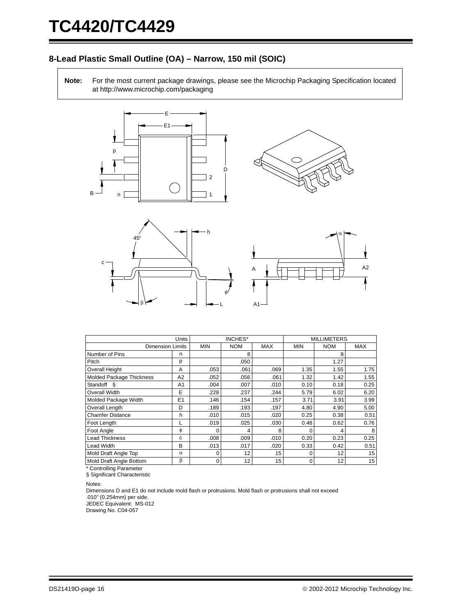### **8-Lead Plastic Small Outline (OA) – Narrow, 150 mil (SOIC)**

**Note:** For the most current package drawings, please see the Microchip Packaging Specification located at http://www.microchip.com/packaging









|                                 | Units          |            | INCHES*    |            |            | <b>MILLIMETERS</b> |            |
|---------------------------------|----------------|------------|------------|------------|------------|--------------------|------------|
| <b>Dimension Limits</b>         |                | <b>MIN</b> | <b>NOM</b> | <b>MAX</b> | <b>MIN</b> | <b>NOM</b>         | <b>MAX</b> |
| Number of Pins                  | n              |            | 8          |            |            | 8                  |            |
| Pitch                           | р              |            | .050       |            |            | 1.27               |            |
| <b>Overall Height</b>           | A              | .053       | .061       | .069       | 1.35       | 1.55               | 1.75       |
| <b>Molded Package Thickness</b> | A2             | .052       | .056       | .061       | 1.32       | 1.42               | 1.55       |
| Standoff §                      | A <sub>1</sub> | .004       | .007       | .010       | 0.10       | 0.18               | 0.25       |
| Overall Width                   | E              | .228       | .237       | .244       | 5.79       | 6.02               | 6.20       |
| Molded Package Width            | E1             | .146       | .154       | .157       | 3.71       | 3.91               | 3.99       |
| Overall Length                  | D              | .189       | .193       | .197       | 4.80       | 4.90               | 5.00       |
| <b>Chamfer Distance</b>         | h              | .010       | .015       | .020       | 0.25       | 0.38               | 0.51       |
| Foot Length                     | L              | .019       | .025       | .030       | 0.48       | 0.62               | 0.76       |
| Foot Angle                      | Φ              | 0          | 4          | 8          | $\Omega$   | 4                  | 8          |
| <b>Lead Thickness</b>           | c              | .008       | .009       | .010       | 0.20       | 0.23               | 0.25       |
| Lead Width                      | B              | .013       | .017       | .020       | 0.33       | 0.42               | 0.51       |
| Mold Draft Angle Top            | $\alpha$       | 0          | 12         | 15         | 0          | 12                 | 15         |
| Mold Draft Angle Bottom         | β              | 0          | 12         | 15         | 0          | $12 \overline{ }$  | 15         |

\* Controlling Parameter § Significant Characteristic

Notes:

Dimensions D and E1 do not include mold flash or protrusions. Mold flash or protrusions shall not exceed .010" (0.254mm) per side. JEDEC Equivalent: MS-012

Drawing No. C04-057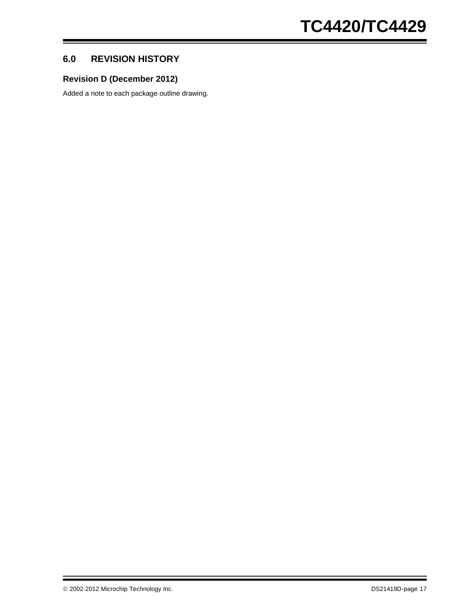# **6.0 REVISION HISTORY**

## **Revision D (December 2012)**

Added a note to each package outline drawing.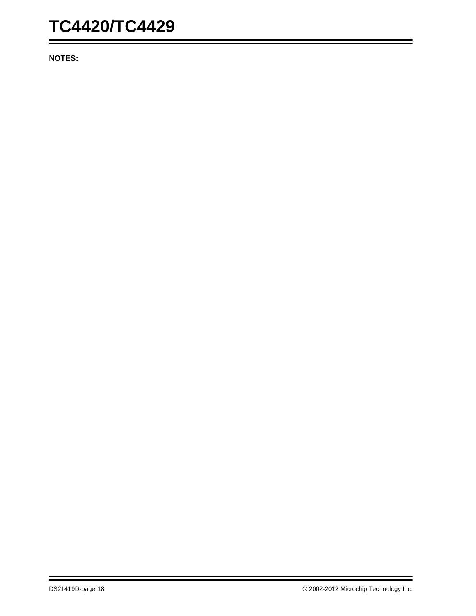**NOTES:**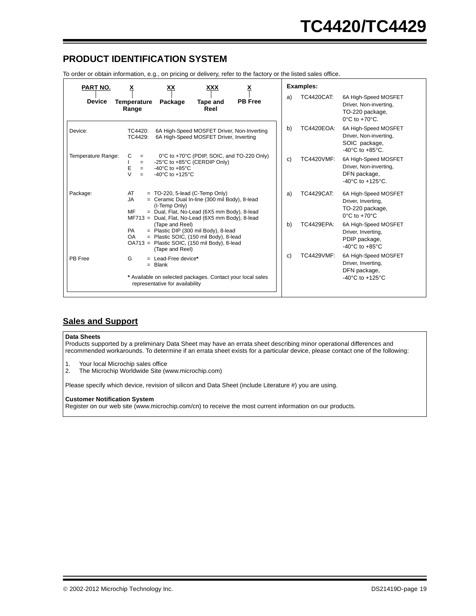# **PRODUCT IDENTIFICATION SYSTEM**

To order or obtain information, e.g., on pricing or delivery, refer to the factory or the listed sales office.

| PART NO.           | <u>x</u><br>XХ<br>XXX                                                                                                                                                                                                    | <u>х</u>       |    | Examples:         |                                                                                                        |
|--------------------|--------------------------------------------------------------------------------------------------------------------------------------------------------------------------------------------------------------------------|----------------|----|-------------------|--------------------------------------------------------------------------------------------------------|
| <b>Device</b>      | Temperature<br>Package<br>Tape and<br>Reel<br>Range                                                                                                                                                                      | <b>PB</b> Free | a) | <b>TC4420CAT:</b> | 6A High-Speed MOSFET<br>Driver, Non-inverting,<br>TO-220 package,<br>$0^{\circ}$ C to $+70^{\circ}$ C. |
| Device:            | 6A High-Speed MOSFET Driver, Non-Inverting<br>TC4420:<br>6A High-Speed MOSFET Driver, Inverting<br>TC4429:                                                                                                               |                | b) | <b>TC4420EOA:</b> | 6A High-Speed MOSFET<br>Driver, Non-inverting,<br>SOIC package,<br>$-40^{\circ}$ C to $+85^{\circ}$ C. |
| Temperature Range: | С<br>0°C to +70°C (PDIP, SOIC, and TO-220 Only)<br>$=$<br>-25°C to +85°C (CERDIP Only)<br>$=$<br>Ε<br>-40 $^{\circ}$ C to +85 $^{\circ}$ C<br>$=$<br>$\mathcal{U}$<br>-40 $^{\circ}$ C to +125 $^{\circ}$ C<br>$=$       |                | c) | <b>TC4420VMF:</b> | 6A High-Speed MOSFET<br>Driver, Non-inverting,<br>DFN package,<br>$-40^{\circ}$ C to $+125^{\circ}$ C. |
| Package:           | AT<br>$=$ TO-220, 5-lead (C-Temp Only)<br>JA<br>= Ceramic Dual In-line (300 mil Body), 8-lead<br>(I-Temp Only)<br>MF<br>= Dual, Flat, No-Lead (6X5 mm Body), 8-lead<br>MF713 = Dual, Flat, No-Lead (6X5 mm Body), 8-lead |                | a) | <b>TC4429CAT:</b> | 6A High-Speed MOSFET<br>Driver, Inverting,<br>TO-220 package,<br>$0^{\circ}$ C to $+70^{\circ}$ C      |
|                    | (Tape and Reel)<br>= Plastic DIP (300 mil Body), 8-lead<br>PA<br>= Plastic SOIC, (150 mil Body), 8-lead<br><b>OA</b><br>OA713 = Plastic SOIC, (150 mil Body), 8-lead<br>(Tape and Reel)                                  |                | b) | <b>TC4429EPA:</b> | 6A High-Speed MOSFET<br>Driver, Inverting,<br>PDIP package,<br>$-40^{\circ}$ C to $+85^{\circ}$ C      |
| PB Free            | G<br>$=$ Lead-Free device*<br>$=$ Blank                                                                                                                                                                                  |                | c) | <b>TC4429VMF:</b> | 6A High-Speed MOSFET<br>Driver, Inverting,<br>DFN package,                                             |
|                    | * Available on selected packages. Contact your local sales<br>representative for availability                                                                                                                            |                |    |                   | $-40^{\circ}$ C to $+125^{\circ}$ C                                                                    |

#### **Sales and Support**

#### **Data Sheets**

Products supported by a preliminary Data Sheet may have an errata sheet describing minor operational differences and recommended workarounds. To determine if an errata sheet exists for a particular device, please contact one of the following:

- 1. Your local Microchip sales office
- 2. The Microchip Worldwide Site (www.microchip.com)

Please specify which device, revision of silicon and Data Sheet (include Literature #) you are using.

#### **Customer Notification System**

Register on our web site (www.microchip.com/cn) to receive the most current information on our products.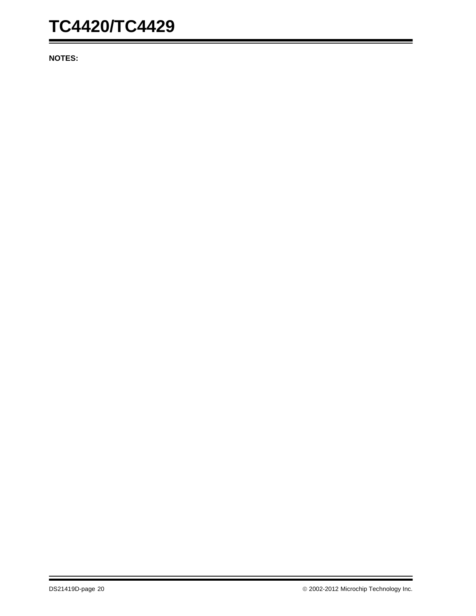**NOTES:**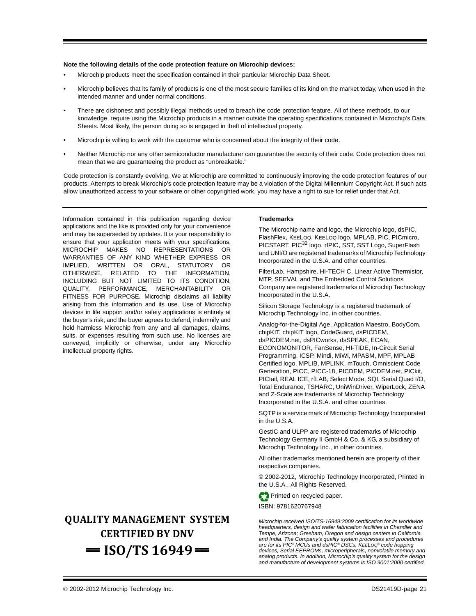#### **Note the following details of the code protection feature on Microchip devices:**

- Microchip products meet the specification contained in their particular Microchip Data Sheet.
- Microchip believes that its family of products is one of the most secure families of its kind on the market today, when used in the intended manner and under normal conditions.
- There are dishonest and possibly illegal methods used to breach the code protection feature. All of these methods, to our knowledge, require using the Microchip products in a manner outside the operating specifications contained in Microchip's Data Sheets. Most likely, the person doing so is engaged in theft of intellectual property.
- Microchip is willing to work with the customer who is concerned about the integrity of their code.
- Neither Microchip nor any other semiconductor manufacturer can guarantee the security of their code. Code protection does not mean that we are guaranteeing the product as "unbreakable."

Code protection is constantly evolving. We at Microchip are committed to continuously improving the code protection features of our products. Attempts to break Microchip's code protection feature may be a violation of the Digital Millennium Copyright Act. If such acts allow unauthorized access to your software or other copyrighted work, you may have a right to sue for relief under that Act.

Information contained in this publication regarding device applications and the like is provided only for your convenience and may be superseded by updates. It is your responsibility to ensure that your application meets with your specifications. MICROCHIP MAKES NO REPRESENTATIONS OR WARRANTIES OF ANY KIND WHETHER EXPRESS OR IMPLIED, WRITTEN OR ORAL, STATUTORY OR OTHERWISE, RELATED TO THE INFORMATION, INCLUDING BUT NOT LIMITED TO ITS CONDITION, QUALITY, PERFORMANCE, MERCHANTABILITY OR FITNESS FOR PURPOSE**.** Microchip disclaims all liability arising from this information and its use. Use of Microchip devices in life support and/or safety applications is entirely at the buyer's risk, and the buyer agrees to defend, indemnify and hold harmless Microchip from any and all damages, claims, suits, or expenses resulting from such use. No licenses are conveyed, implicitly or otherwise, under any Microchip intellectual property rights.

# **QUALITY MANAGEMENT SYSTEM CERTIFIED BY DNV**   $=$  **ISO/TS 16949** $=$

#### **Trademarks**

The Microchip name and logo, the Microchip logo, dsPIC, FlashFlex, KEELOQ, KEELOQ logo, MPLAB, PIC, PICmicro, PICSTART, PIC<sup>32</sup> logo, rfPIC, SST, SST Logo, SuperFlash and UNI/O are registered trademarks of Microchip Technology Incorporated in the U.S.A. and other countries.

FilterLab, Hampshire, HI-TECH C, Linear Active Thermistor, MTP, SEEVAL and The Embedded Control Solutions Company are registered trademarks of Microchip Technology Incorporated in the U.S.A.

Silicon Storage Technology is a registered trademark of Microchip Technology Inc. in other countries.

Analog-for-the-Digital Age, Application Maestro, BodyCom, chipKIT, chipKIT logo, CodeGuard, dsPICDEM, dsPICDEM.net, dsPICworks, dsSPEAK, ECAN, ECONOMONITOR, FanSense, HI-TIDE, In-Circuit Serial Programming, ICSP, Mindi, MiWi, MPASM, MPF, MPLAB Certified logo, MPLIB, MPLINK, mTouch, Omniscient Code Generation, PICC, PICC-18, PICDEM, PICDEM.net, PICkit, PICtail, REAL ICE, rfLAB, Select Mode, SQI, Serial Quad I/O, Total Endurance, TSHARC, UniWinDriver, WiperLock, ZENA and Z-Scale are trademarks of Microchip Technology Incorporated in the U.S.A. and other countries.

SQTP is a service mark of Microchip Technology Incorporated in the U.S.A.

GestIC and ULPP are registered trademarks of Microchip Technology Germany II GmbH & Co. & KG, a subsidiary of Microchip Technology Inc., in other countries.

All other trademarks mentioned herein are property of their respective companies.

© 2002-2012, Microchip Technology Incorporated, Printed in the U.S.A., All Rights Reserved.

Printed on recycled paper.

ISBN: 9781620767948

*Microchip received ISO/TS-16949:2009 certification for its worldwide headquarters, design and wafer fabrication facilities in Chandler and Tempe, Arizona; Gresham, Oregon and design centers in California and India. The Company's quality system processes and procedures are for its PIC® MCUs and dsPIC® DSCs, KEELOQ® code hopping devices, Serial EEPROMs, microperipherals, nonvolatile memory and analog products. In addition, Microchip's quality system for the design and manufacture of development systems is ISO 9001:2000 certified.*